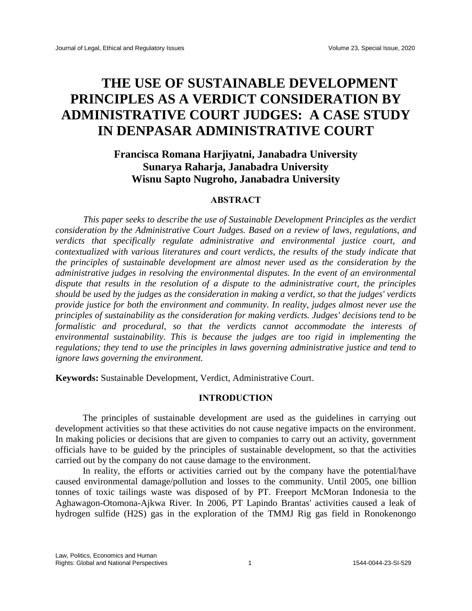# **THE USE OF SUSTAINABLE DEVELOPMENT PRINCIPLES AS A VERDICT CONSIDERATION BY ADMINISTRATIVE COURT JUDGES: A CASE STUDY IN DENPASAR ADMINISTRATIVE COURT**

## **Francisca Romana Harjiyatni, Janabadra University Sunarya Raharja, Janabadra University Wisnu Sapto Nugroho, Janabadra University**

## **ABSTRACT**

*This paper seeks to describe the use of Sustainable Development Principles as the verdict consideration by the Administrative Court Judges. Based on a review of laws, regulations, and verdicts that specifically regulate administrative and environmental justice court, and contextualized with various literatures and court verdicts, the results of the study indicate that the principles of sustainable development are almost never used as the consideration by the administrative judges in resolving the environmental disputes. In the event of an environmental dispute that results in the resolution of a dispute to the administrative court, the principles should be used by the judges as the consideration in making a verdict, so that the judges' verdicts provide justice for both the environment and community. In reality, judges almost never use the principles of sustainability as the consideration for making verdicts. Judges' decisions tend to be formalistic and procedural, so that the verdicts cannot accommodate the interests of environmental sustainability. This is because the judges are too rigid in implementing the regulations; they tend to use the principles in laws governing administrative justice and tend to ignore laws governing the environment.*

**Keywords:** Sustainable Development, Verdict, Administrative Court.

#### **INTRODUCTION**

The principles of sustainable development are used as the guidelines in carrying out development activities so that these activities do not cause negative impacts on the environment. In making policies or decisions that are given to companies to carry out an activity, government officials have to be guided by the principles of sustainable development, so that the activities carried out by the company do not cause damage to the environment.

In reality, the efforts or activities carried out by the company have the potential/have caused environmental damage/pollution and losses to the community. Until 2005, one billion tonnes of toxic tailings waste was disposed of by PT. Freeport McMoran Indonesia to the Aghawagon-Otomona-Ajkwa River. In 2006, PT Lapindo Brantas' activities caused a leak of hydrogen sulfide (H2S) gas in the exploration of the TMMJ Rig gas field in Ronokenongo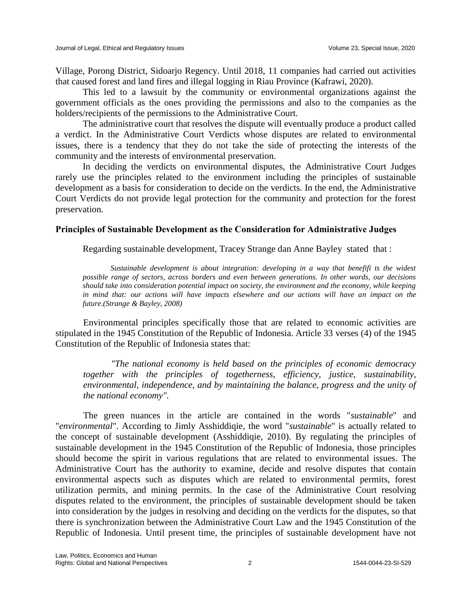Village, Porong District, Sidoarjo Regency. Until 2018, 11 companies had carried out activities that caused forest and land fires and illegal logging in Riau Province (Kafrawi, 2020).

This led to a lawsuit by the community or environmental organizations against the government officials as the ones providing the permissions and also to the companies as the holders/recipients of the permissions to the Administrative Court.

The administrative court that resolves the dispute will eventually produce a product called a verdict. In the Administrative Court Verdicts whose disputes are related to environmental issues, there is a tendency that they do not take the side of protecting the interests of the community and the interests of environmental preservation.

In deciding the verdicts on environmental disputes, the Administrative Court Judges rarely use the principles related to the environment including the principles of sustainable development as a basis for consideration to decide on the verdicts. In the end, the Administrative Court Verdicts do not provide legal protection for the community and protection for the forest preservation.

## **Principles of Sustainable Development as the Consideration for Administrative Judges**

Regarding sustainable development, Tracey Strange dan Anne Bayley stated that :

*Sustainable development is about integration: developing in a way that benefifi ts the widest possible range of sectors, across borders and even between generations. In other words, our decisions should take into consideration potential impact on society, the environment and the economy, while keeping in mind that: our actions will have impacts elsewhere and our actions will have an impact on the future.(Strange & Bayley, 2008)*

Environmental principles specifically those that are related to economic activities are stipulated in the 1945 Constitution of the Republic of Indonesia. Article 33 verses (4) of the 1945 Constitution of the Republic of Indonesia states that:

*"The national economy is held based on the principles of economic democracy together with the principles of togetherness, efficiency, justice, sustainability, environmental, independence, and by maintaining the balance, progress and the unity of the national economy".*

The green nuances in the article are contained in the words "*sustainable*" and "*environmental*". According to Jimly Asshiddiqie, the word "*sustainable*" is actually related to the concept of sustainable development (Asshiddiqie, 2010). By regulating the principles of sustainable development in the 1945 Constitution of the Republic of Indonesia, those principles should become the spirit in various regulations that are related to environmental issues. The Administrative Court has the authority to examine, decide and resolve disputes that contain environmental aspects such as disputes which are related to environmental permits, forest utilization permits, and mining permits. In the case of the Administrative Court resolving disputes related to the environment, the principles of sustainable development should be taken into consideration by the judges in resolving and deciding on the verdicts for the disputes, so that there is synchronization between the Administrative Court Law and the 1945 Constitution of the Republic of Indonesia. Until present time, the principles of sustainable development have not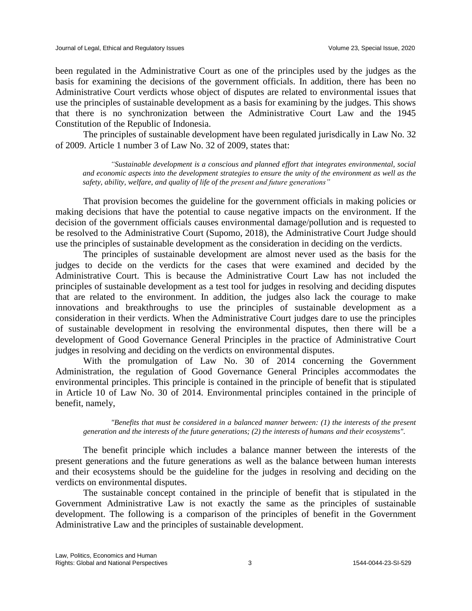been regulated in the Administrative Court as one of the principles used by the judges as the basis for examining the decisions of the government officials. In addition, there has been no Administrative Court verdicts whose object of disputes are related to environmental issues that use the principles of sustainable development as a basis for examining by the judges. This shows that there is no synchronization between the Administrative Court Law and the 1945 Constitution of the Republic of Indonesia.

The principles of sustainable development have been regulated jurisdically in Law No. 32 of 2009. Article 1 number 3 of Law No. 32 of 2009, states that:

*"Sustainable development is a conscious and planned effort that integrates environmental, social and economic aspects into the development strategies to ensure the unity of the environment as well as the safety, ability, welfare, and quality of life of the present and future generations"*

That provision becomes the guideline for the government officials in making policies or making decisions that have the potential to cause negative impacts on the environment. If the decision of the government officials causes environmental damage/pollution and is requested to be resolved to the Administrative Court (Supomo, 2018), the Administrative Court Judge should use the principles of sustainable development as the consideration in deciding on the verdicts.

The principles of sustainable development are almost never used as the basis for the judges to decide on the verdicts for the cases that were examined and decided by the Administrative Court. This is because the Administrative Court Law has not included the principles of sustainable development as a test tool for judges in resolving and deciding disputes that are related to the environment. In addition, the judges also lack the courage to make innovations and breakthroughs to use the principles of sustainable development as a consideration in their verdicts. When the Administrative Court judges dare to use the principles of sustainable development in resolving the environmental disputes, then there will be a development of Good Governance General Principles in the practice of Administrative Court judges in resolving and deciding on the verdicts on environmental disputes.

With the promulgation of Law No. 30 of 2014 concerning the Government Administration, the regulation of Good Governance General Principles accommodates the environmental principles. This principle is contained in the principle of benefit that is stipulated in Article 10 of Law No. 30 of 2014. Environmental principles contained in the principle of benefit, namely,

*"Benefits that must be considered in a balanced manner between: (1) the interests of the present generation and the interests of the future generations; (2) the interests of humans and their ecosystems".*

The benefit principle which includes a balance manner between the interests of the present generations and the future generations as well as the balance between human interests and their ecosystems should be the guideline for the judges in resolving and deciding on the verdicts on environmental disputes.

The sustainable concept contained in the principle of benefit that is stipulated in the Government Administrative Law is not exactly the same as the principles of sustainable development. The following is a comparison of the principles of benefit in the Government Administrative Law and the principles of sustainable development.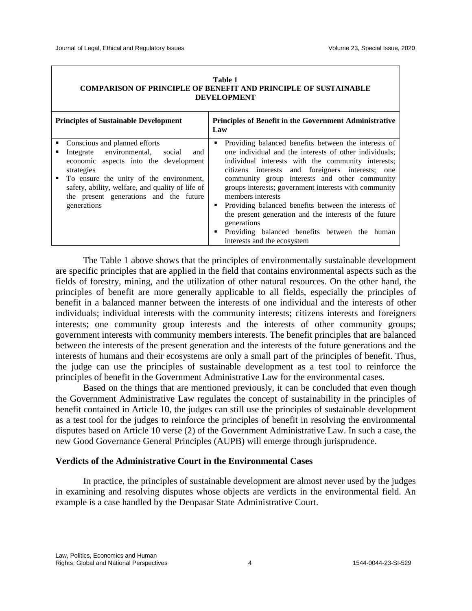| Table 1                                                                |
|------------------------------------------------------------------------|
| <b>COMPARISON OF PRINCIPLE OF BENEFIT AND PRINCIPLE OF SUSTAINABLE</b> |
| <b>DEVELOPMENT</b>                                                     |

| <b>Principles of Sustainable Development</b> |                                                                                    | <b>Principles of Benefit in the Government Administrative</b><br>Law |                                                                                                        |
|----------------------------------------------|------------------------------------------------------------------------------------|----------------------------------------------------------------------|--------------------------------------------------------------------------------------------------------|
|                                              | Conscious and planned efforts                                                      | ٠                                                                    | Providing balanced benefits between the interests of                                                   |
|                                              | Integrate environmental,<br>social<br>and<br>economic aspects into the development |                                                                      | one individual and the interests of other individuals;                                                 |
|                                              | strategies                                                                         |                                                                      | individual interests with the community interests;<br>citizens interests and foreigners interests; one |
|                                              | • To ensure the unity of the environment,                                          |                                                                      | community group interests and other community                                                          |
|                                              | safety, ability, welfare, and quality of life of                                   |                                                                      | groups interests; government interests with community                                                  |
|                                              | the present generations and the future                                             |                                                                      | members interests                                                                                      |
|                                              | generations                                                                        |                                                                      | Providing balanced benefits between the interests of                                                   |
|                                              |                                                                                    |                                                                      | the present generation and the interests of the future<br>generations                                  |
|                                              |                                                                                    |                                                                      | Providing balanced benefits between<br>the human                                                       |
|                                              |                                                                                    |                                                                      | interests and the ecosystem                                                                            |

The Table 1 above shows that the principles of environmentally sustainable development are specific principles that are applied in the field that contains environmental aspects such as the fields of forestry, mining, and the utilization of other natural resources. On the other hand, the principles of benefit are more generally applicable to all fields, especially the principles of benefit in a balanced manner between the interests of one individual and the interests of other individuals; individual interests with the community interests; citizens interests and foreigners interests; one community group interests and the interests of other community groups; government interests with community members interests. The benefit principles that are balanced between the interests of the present generation and the interests of the future generations and the interests of humans and their ecosystems are only a small part of the principles of benefit. Thus, the judge can use the principles of sustainable development as a test tool to reinforce the principles of benefit in the Government Administrative Law for the environmental cases.

Based on the things that are mentioned previously, it can be concluded that even though the Government Administrative Law regulates the concept of sustainability in the principles of benefit contained in Article 10, the judges can still use the principles of sustainable development as a test tool for the judges to reinforce the principles of benefit in resolving the environmental disputes based on Article 10 verse (2) of the Government Administrative Law. In such a case, the new Good Governance General Principles (AUPB) will emerge through jurisprudence.

## **Verdicts of the Administrative Court in the Environmental Cases**

In practice, the principles of sustainable development are almost never used by the judges in examining and resolving disputes whose objects are verdicts in the environmental field. An example is a case handled by the Denpasar State Administrative Court.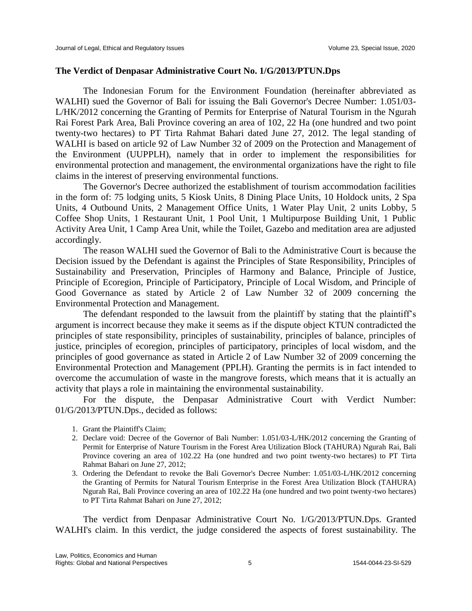## **The Verdict of Denpasar Administrative Court No. 1/G/2013/PTUN.Dps**

The Indonesian Forum for the Environment Foundation (hereinafter abbreviated as WALHI) sued the Governor of Bali for issuing the Bali Governor's Decree Number: 1.051/03- L/HK/2012 concerning the Granting of Permits for Enterprise of Natural Tourism in the Ngurah Rai Forest Park Area, Bali Province covering an area of 102, 22 Ha (one hundred and two point twenty-two hectares) to PT Tirta Rahmat Bahari dated June 27, 2012. The legal standing of WALHI is based on article 92 of Law Number 32 of 2009 on the Protection and Management of the Environment (UUPPLH), namely that in order to implement the responsibilities for environmental protection and management, the environmental organizations have the right to file claims in the interest of preserving environmental functions.

The Governor's Decree authorized the establishment of tourism accommodation facilities in the form of: 75 lodging units, 5 Kiosk Units, 8 Dining Place Units, 10 Holdock units, 2 Spa Units, 4 Outbound Units, 2 Management Office Units, 1 Water Play Unit, 2 units Lobby, 5 Coffee Shop Units, 1 Restaurant Unit, 1 Pool Unit, 1 Multipurpose Building Unit, 1 Public Activity Area Unit, 1 Camp Area Unit, while the Toilet, Gazebo and meditation area are adjusted accordingly.

The reason WALHI sued the Governor of Bali to the Administrative Court is because the Decision issued by the Defendant is against the Principles of State Responsibility, Principles of Sustainability and Preservation, Principles of Harmony and Balance, Principle of Justice, Principle of Ecoregion, Principle of Participatory, Principle of Local Wisdom, and Principle of Good Governance as stated by Article 2 of Law Number 32 of 2009 concerning the Environmental Protection and Management.

The defendant responded to the lawsuit from the plaintiff by stating that the plaintiff's argument is incorrect because they make it seems as if the dispute object KTUN contradicted the principles of state responsibility, principles of sustainability, principles of balance, principles of justice, principles of ecoregion, principles of participatory, principles of local wisdom, and the principles of good governance as stated in Article 2 of Law Number 32 of 2009 concerning the Environmental Protection and Management (PPLH). Granting the permits is in fact intended to overcome the accumulation of waste in the mangrove forests, which means that it is actually an activity that plays a role in maintaining the environmental sustainability.

For the dispute, the Denpasar Administrative Court with Verdict Number: 01/G/2013/PTUN.Dps., decided as follows:

- 1. Grant the Plaintiff's Claim;
- 2. Declare void: Decree of the Governor of Bali Number: 1.051/03-L/HK/2012 concerning the Granting of Permit for Enterprise of Nature Tourism in the Forest Area Utilization Block (TAHURA) Ngurah Rai, Bali Province covering an area of 102.22 Ha (one hundred and two point twenty-two hectares) to PT Tirta Rahmat Bahari on June 27, 2012;
- 3. Ordering the Defendant to revoke the Bali Governor's Decree Number: 1.051/03-L/HK/2012 concerning the Granting of Permits for Natural Tourism Enterprise in the Forest Area Utilization Block (TAHURA) Ngurah Rai, Bali Province covering an area of 102.22 Ha (one hundred and two point twenty-two hectares) to PT Tirta Rahmat Bahari on June 27, 2012;

The verdict from Denpasar Administrative Court No. 1/G/2013/PTUN.Dps. Granted WALHI's claim. In this verdict, the judge considered the aspects of forest sustainability. The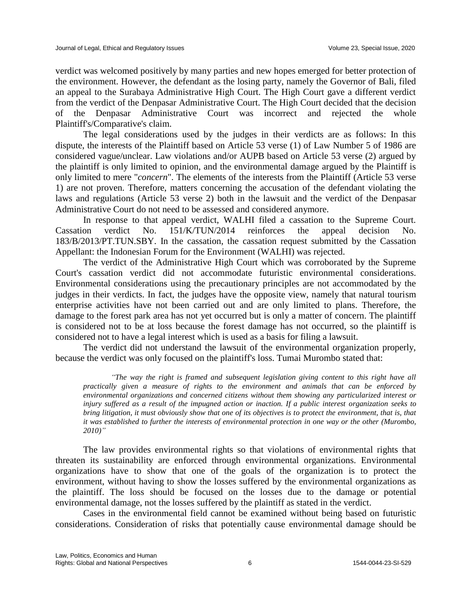verdict was welcomed positively by many parties and new hopes emerged for better protection of the environment. However, the defendant as the losing party, namely the Governor of Bali, filed an appeal to the Surabaya Administrative High Court. The High Court gave a different verdict from the verdict of the Denpasar Administrative Court. The High Court decided that the decision of the Denpasar Administrative Court was incorrect and rejected the whole Plaintiff's/Comparative's claim.

The legal considerations used by the judges in their verdicts are as follows: In this dispute, the interests of the Plaintiff based on Article 53 verse (1) of Law Number 5 of 1986 are considered vague/unclear. Law violations and/or AUPB based on Article 53 verse (2) argued by the plaintiff is only limited to opinion, and the environmental damage argued by the Plaintiff is only limited to mere "*concern*". The elements of the interests from the Plaintiff (Article 53 verse 1) are not proven. Therefore, matters concerning the accusation of the defendant violating the laws and regulations (Article 53 verse 2) both in the lawsuit and the verdict of the Denpasar Administrative Court do not need to be assessed and considered anymore.

In response to that appeal verdict, WALHI filed a cassation to the Supreme Court. Cassation verdict No. 151/K/TUN/2014 reinforces the appeal decision No. 183/B/2013/PT.TUN.SBY. In the cassation, the cassation request submitted by the Cassation Appellant: the Indonesian Forum for the Environment (WALHI) was rejected.

The verdict of the Administrative High Court which was corroborated by the Supreme Court's cassation verdict did not accommodate futuristic environmental considerations. Environmental considerations using the precautionary principles are not accommodated by the judges in their verdicts. In fact, the judges have the opposite view, namely that natural tourism enterprise activities have not been carried out and are only limited to plans. Therefore, the damage to the forest park area has not yet occurred but is only a matter of concern. The plaintiff is considered not to be at loss because the forest damage has not occurred, so the plaintiff is considered not to have a legal interest which is used as a basis for filing a lawsuit.

The verdict did not understand the lawsuit of the environmental organization properly, because the verdict was only focused on the plaintiff's loss. Tumai Murombo stated that:

*"The way the right is framed and subsequent legislation giving content to this right have all practically given a measure of rights to the environment and animals that can be enforced by environmental organizations and concerned citizens without them showing any particularized interest or injury suffered as a result of the impugned action or inaction. If a public interest organization seeks to bring litigation, it must obviously show that one of its objectives is to protect the environment, that is, that it was established to further the interests of environmental protection in one way or the other (Murombo, 2010)"*

The law provides environmental rights so that violations of environmental rights that threaten its sustainability are enforced through environmental organizations. Environmental organizations have to show that one of the goals of the organization is to protect the environment, without having to show the losses suffered by the environmental organizations as the plaintiff. The loss should be focused on the losses due to the damage or potential environmental damage, not the losses suffered by the plaintiff as stated in the verdict.

Cases in the environmental field cannot be examined without being based on futuristic considerations. Consideration of risks that potentially cause environmental damage should be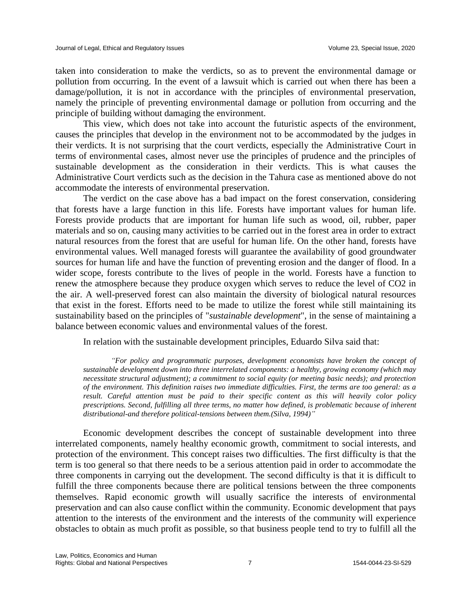taken into consideration to make the verdicts, so as to prevent the environmental damage or pollution from occurring. In the event of a lawsuit which is carried out when there has been a damage/pollution, it is not in accordance with the principles of environmental preservation, namely the principle of preventing environmental damage or pollution from occurring and the principle of building without damaging the environment.

This view, which does not take into account the futuristic aspects of the environment, causes the principles that develop in the environment not to be accommodated by the judges in their verdicts. It is not surprising that the court verdicts, especially the Administrative Court in terms of environmental cases, almost never use the principles of prudence and the principles of sustainable development as the consideration in their verdicts. This is what causes the Administrative Court verdicts such as the decision in the Tahura case as mentioned above do not accommodate the interests of environmental preservation.

The verdict on the case above has a bad impact on the forest conservation, considering that forests have a large function in this life. Forests have important values for human life. Forests provide products that are important for human life such as wood, oil, rubber, paper materials and so on, causing many activities to be carried out in the forest area in order to extract natural resources from the forest that are useful for human life. On the other hand, forests have environmental values. Well managed forests will guarantee the availability of good groundwater sources for human life and have the function of preventing erosion and the danger of flood. In a wider scope, forests contribute to the lives of people in the world. Forests have a function to renew the atmosphere because they produce oxygen which serves to reduce the level of CO2 in the air. A well-preserved forest can also maintain the diversity of biological natural resources that exist in the forest. Efforts need to be made to utilize the forest while still maintaining its sustainability based on the principles of "*sustainable development*", in the sense of maintaining a balance between economic values and environmental values of the forest.

In relation with the sustainable development principles, Eduardo Silva said that:

*"For policy and programmatic purposes, development economists have broken the concept of sustainable development down into three interrelated components: a healthy, growing economy (which may necessitate structural adjustment); a commitment to social equity (or meeting basic needs); and protection of the environment. This definition raises two immediate difficulties. First, the terms are too general: as a result. Careful attention must be paid to their specific content as this will heavily color policy prescriptions. Second, fulfilling all three terms, no matter how defined, is problematic because of inherent distributional-and therefore political-tensions between them.(Silva, 1994)"*

Economic development describes the concept of sustainable development into three interrelated components, namely healthy economic growth, commitment to social interests, and protection of the environment. This concept raises two difficulties. The first difficulty is that the term is too general so that there needs to be a serious attention paid in order to accommodate the three components in carrying out the development. The second difficulty is that it is difficult to fulfill the three components because there are political tensions between the three components themselves. Rapid economic growth will usually sacrifice the interests of environmental preservation and can also cause conflict within the community. Economic development that pays attention to the interests of the environment and the interests of the community will experience obstacles to obtain as much profit as possible, so that business people tend to try to fulfill all the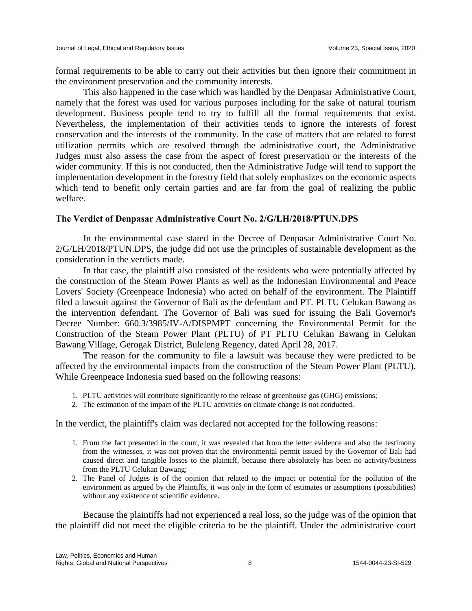formal requirements to be able to carry out their activities but then ignore their commitment in the environment preservation and the community interests.

This also happened in the case which was handled by the Denpasar Administrative Court, namely that the forest was used for various purposes including for the sake of natural tourism development. Business people tend to try to fulfill all the formal requirements that exist. Nevertheless, the implementation of their activities tends to ignore the interests of forest conservation and the interests of the community. In the case of matters that are related to forest utilization permits which are resolved through the administrative court, the Administrative Judges must also assess the case from the aspect of forest preservation or the interests of the wider community. If this is not conducted, then the Administrative Judge will tend to support the implementation development in the forestry field that solely emphasizes on the economic aspects which tend to benefit only certain parties and are far from the goal of realizing the public welfare.

### **The Verdict of Denpasar Administrative Court No. 2/G/LH/2018/PTUN.DPS**

In the environmental case stated in the Decree of Denpasar Administrative Court No. 2/G/LH/2018/PTUN.DPS, the judge did not use the principles of sustainable development as the consideration in the verdicts made.

In that case, the plaintiff also consisted of the residents who were potentially affected by the construction of the Steam Power Plants as well as the Indonesian Environmental and Peace Lovers' Society (Greenpeace Indonesia) who acted on behalf of the environment. The Plaintiff filed a lawsuit against the Governor of Bali as the defendant and PT. PLTU Celukan Bawang as the intervention defendant. The Governor of Bali was sued for issuing the Bali Governor's Decree Number: 660.3/3985/IV-A/DISPMPT concerning the Environmental Permit for the Construction of the Steam Power Plant (PLTU) of PT PLTU Celukan Bawang in Celukan Bawang Village, Gerogak District, Buleleng Regency, dated April 28, 2017.

The reason for the community to file a lawsuit was because they were predicted to be affected by the environmental impacts from the construction of the Steam Power Plant (PLTU). While Greenpeace Indonesia sued based on the following reasons:

- 1. PLTU activities will contribute significantly to the release of greenhouse gas (GHG) emissions;
- 2. The estimation of the impact of the PLTU activities on climate change is not conducted.

In the verdict, the plaintiff's claim was declared not accepted for the following reasons:

- 1. From the fact presented in the court, it was revealed that from the letter evidence and also the testimony from the witnesses, it was not proven that the environmental permit issued by the Governor of Bali had caused direct and tangible losses to the plaintiff, because there absolutely has been no activity/business from the PLTU Celukan Bawang;
- 2. The Panel of Judges is of the opinion that related to the impact or potential for the pollution of the environment as argued by the Plaintiffs, it was only in the form of estimates or assumptions (possibilities) without any existence of scientific evidence.

Because the plaintiffs had not experienced a real loss, so the judge was of the opinion that the plaintiff did not meet the eligible criteria to be the plaintiff. Under the administrative court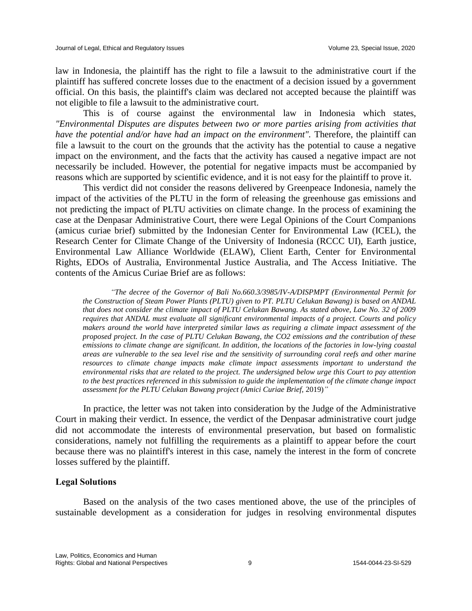law in Indonesia, the plaintiff has the right to file a lawsuit to the administrative court if the plaintiff has suffered concrete losses due to the enactment of a decision issued by a government official. On this basis, the plaintiff's claim was declared not accepted because the plaintiff was not eligible to file a lawsuit to the administrative court.

This is of course against the environmental law in Indonesia which states, *"Environmental Disputes are disputes between two or more parties arising from activities that have the potential and/or have had an impact on the environment".* Therefore, the plaintiff can file a lawsuit to the court on the grounds that the activity has the potential to cause a negative impact on the environment, and the facts that the activity has caused a negative impact are not necessarily be included. However, the potential for negative impacts must be accompanied by reasons which are supported by scientific evidence, and it is not easy for the plaintiff to prove it.

This verdict did not consider the reasons delivered by Greenpeace Indonesia, namely the impact of the activities of the PLTU in the form of releasing the greenhouse gas emissions and not predicting the impact of PLTU activities on climate change. In the process of examining the case at the Denpasar Administrative Court, there were Legal Opinions of the Court Companions (amicus curiae brief) submitted by the Indonesian Center for Environmental Law (ICEL), the Research Center for Climate Change of the University of Indonesia (RCCC UI), Earth justice, Environmental Law Alliance Worldwide (ELAW), Client Earth, Center for Environmental Rights, EDOs of Australia, Environmental Justice Australia, and The Access Initiative. The contents of the Amicus Curiae Brief are as follows:

*"The decree of the Governor of Bali No.660.3/3985/IV-A/DISPMPT (Environmental Permit for the Construction of Steam Power Plants (PLTU) given to PT. PLTU Celukan Bawang) is based on ANDAL that does not consider the climate impact of PLTU Celukan Bawang. As stated above, Law No. 32 of 2009 requires that ANDAL must evaluate all significant environmental impacts of a project. Courts and policy makers around the world have interpreted similar laws as requiring a climate impact assessment of the proposed project. In the case of PLTU Celukan Bawang, the CO2 emissions and the contribution of these emissions to climate change are significant. In addition, the locations of the factories in low-lying coastal areas are vulnerable to the sea level rise and the sensitivity of surrounding coral reefs and other marine resources to climate change impacts make climate impact assessments important to understand the environmental risks that are related to the project. The undersigned below urge this Court to pay attention to the best practices referenced in this submission to guide the implementation of the climate change impact assessment for the PLTU Celukan Bawang project (Amici Curiae Brief,* 2019)*"*

In practice, the letter was not taken into consideration by the Judge of the Administrative Court in making their verdict. In essence, the verdict of the Denpasar administrative court judge did not accommodate the interests of environmental preservation, but based on formalistic considerations, namely not fulfilling the requirements as a plaintiff to appear before the court because there was no plaintiff's interest in this case, namely the interest in the form of concrete losses suffered by the plaintiff.

### **Legal Solutions**

Based on the analysis of the two cases mentioned above, the use of the principles of sustainable development as a consideration for judges in resolving environmental disputes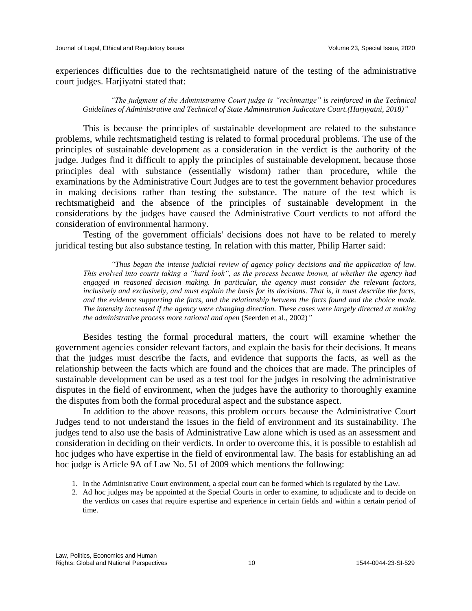experiences difficulties due to the rechtsmatigheid nature of the testing of the administrative court judges. Harjiyatni stated that:

*"The judgment of the Administrative Court judge is "rechtmatige" is reinforced in the Technical Guidelines of Administrative and Technical of State Administration Judicature Court.(Harjiyatni, 2018)"*

This is because the principles of sustainable development are related to the substance problems, while rechtsmatigheid testing is related to formal procedural problems. The use of the principles of sustainable development as a consideration in the verdict is the authority of the judge. Judges find it difficult to apply the principles of sustainable development, because those principles deal with substance (essentially wisdom) rather than procedure, while the examinations by the Administrative Court Judges are to test the government behavior procedures in making decisions rather than testing the substance. The nature of the test which is rechtsmatigheid and the absence of the principles of sustainable development in the considerations by the judges have caused the Administrative Court verdicts to not afford the consideration of environmental harmony.

Testing of the government officials' decisions does not have to be related to merely juridical testing but also substance testing. In relation with this matter, Philip Harter said:

*"Thus began the intense judicial review of agency policy decisions and the application of law. This evolved into courts taking a "hard look", as the process became known, at whether the agency had engaged in reasoned decision making. In particular, the agency must consider the relevant factors, inclusively and exclusively, and must explain the basis for its decisions. That is, it must describe the facts, and the evidence supporting the facts, and the relationship between the facts found and the choice made. The intensity increased if the agency were changing direction. These cases were largely directed at making the administrative process more rational and open* (Seerden et al., 2002)*"*

Besides testing the formal procedural matters, the court will examine whether the government agencies consider relevant factors, and explain the basis for their decisions. It means that the judges must describe the facts, and evidence that supports the facts, as well as the relationship between the facts which are found and the choices that are made. The principles of sustainable development can be used as a test tool for the judges in resolving the administrative disputes in the field of environment, when the judges have the authority to thoroughly examine the disputes from both the formal procedural aspect and the substance aspect.

In addition to the above reasons, this problem occurs because the Administrative Court Judges tend to not understand the issues in the field of environment and its sustainability. The judges tend to also use the basis of Administrative Law alone which is used as an assessment and consideration in deciding on their verdicts. In order to overcome this, it is possible to establish ad hoc judges who have expertise in the field of environmental law. The basis for establishing an ad hoc judge is Article 9A of Law No. 51 of 2009 which mentions the following:

- 1. In the Administrative Court environment, a special court can be formed which is regulated by the Law.
- 2. Ad hoc judges may be appointed at the Special Courts in order to examine, to adjudicate and to decide on the verdicts on cases that require expertise and experience in certain fields and within a certain period of time.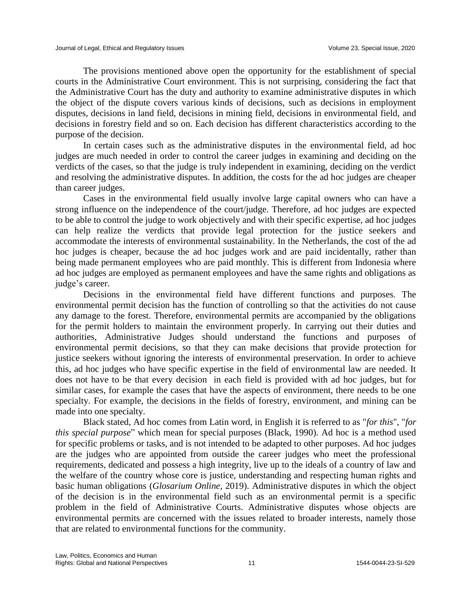The provisions mentioned above open the opportunity for the establishment of special courts in the Administrative Court environment. This is not surprising, considering the fact that the Administrative Court has the duty and authority to examine administrative disputes in which the object of the dispute covers various kinds of decisions, such as decisions in employment disputes, decisions in land field, decisions in mining field, decisions in environmental field, and decisions in forestry field and so on. Each decision has different characteristics according to the purpose of the decision.

In certain cases such as the administrative disputes in the environmental field, ad hoc judges are much needed in order to control the career judges in examining and deciding on the verdicts of the cases, so that the judge is truly independent in examining, deciding on the verdict and resolving the administrative disputes. In addition, the costs for the ad hoc judges are cheaper than career judges.

Cases in the environmental field usually involve large capital owners who can have a strong influence on the independence of the court/judge. Therefore, ad hoc judges are expected to be able to control the judge to work objectively and with their specific expertise, ad hoc judges can help realize the verdicts that provide legal protection for the justice seekers and accommodate the interests of environmental sustainability. In the Netherlands, the cost of the ad hoc judges is cheaper, because the ad hoc judges work and are paid incidentally, rather than being made permanent employees who are paid monthly. This is different from Indonesia where ad hoc judges are employed as permanent employees and have the same rights and obligations as judge's career.

Decisions in the environmental field have different functions and purposes. The environmental permit decision has the function of controlling so that the activities do not cause any damage to the forest. Therefore, environmental permits are accompanied by the obligations for the permit holders to maintain the environment properly. In carrying out their duties and authorities, Administrative Judges should understand the functions and purposes of environmental permit decisions, so that they can make decisions that provide protection for justice seekers without ignoring the interests of environmental preservation. In order to achieve this, ad hoc judges who have specific expertise in the field of environmental law are needed. It does not have to be that every decision in each field is provided with ad hoc judges, but for similar cases, for example the cases that have the aspects of environment, there needs to be one specialty. For example, the decisions in the fields of forestry, environment, and mining can be made into one specialty.

Black stated, Ad hoc comes from Latin word, in English it is referred to as "*for this*", "*for this special purpose*" which mean for special purposes (Black, 1990). Ad hoc is a method used for specific problems or tasks, and is not intended to be adapted to other purposes. Ad hoc judges are the judges who are appointed from outside the career judges who meet the professional requirements, dedicated and possess a high integrity, live up to the ideals of a country of law and the welfare of the country whose core is justice, understanding and respecting human rights and basic human obligations (*Glosarium Online,* 2019). Administrative disputes in which the object of the decision is in the environmental field such as an environmental permit is a specific problem in the field of Administrative Courts. Administrative disputes whose objects are environmental permits are concerned with the issues related to broader interests, namely those that are related to environmental functions for the community.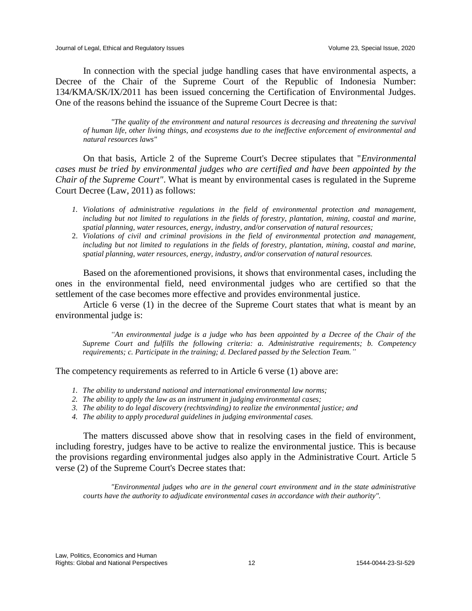In connection with the special judge handling cases that have environmental aspects, a Decree of the Chair of the Supreme Court of the Republic of Indonesia Number: 134/KMA/SK/IX/2011 has been issued concerning the Certification of Environmental Judges. One of the reasons behind the issuance of the Supreme Court Decree is that:

*"The quality of the environment and natural resources is decreasing and threatening the survival of human life, other living things, and ecosystems due to the ineffective enforcement of environmental and natural resources laws"*

On that basis, Article 2 of the Supreme Court's Decree stipulates that "*Environmental cases must be tried by environmental judges who are certified and have been appointed by the Chair of the Supreme Court"*. What is meant by environmental cases is regulated in the Supreme Court Decree (Law, 2011) as follows:

- *1. Violations of administrative regulations in the field of environmental protection and management, including but not limited to regulations in the fields of forestry, plantation, mining, coastal and marine, spatial planning, water resources, energy, industry, and/or conservation of natural resources;*
- 2. *Violations of civil and criminal provisions in the field of environmental protection and management, including but not limited to regulations in the fields of forestry, plantation, mining, coastal and marine, spatial planning, water resources, energy, industry, and/or conservation of natural resources.*

Based on the aforementioned provisions, it shows that environmental cases, including the ones in the environmental field, need environmental judges who are certified so that the settlement of the case becomes more effective and provides environmental justice.

Article 6 verse (1) in the decree of the Supreme Court states that what is meant by an environmental judge is:

*An environmental judge is a judge who has been appointed by a Decree of the Chair of the Supreme Court and fulfills the following criteria: a. Administrative requirements; b. Competency requirements; c. Participate in the training; d. Declared passed by the Selection Team."*

The competency requirements as referred to in Article 6 verse (1) above are:

- *1. The ability to understand national and international environmental law norms;*
- *2. The ability to apply the law as an instrument in judging environmental cases;*
- *3. The ability to do legal discovery (rechtsvinding) to realize the environmental justice; and*
- *4. The ability to apply procedural guidelines in judging environmental cases.*

The matters discussed above show that in resolving cases in the field of environment, including forestry, judges have to be active to realize the environmental justice. This is because the provisions regarding environmental judges also apply in the Administrative Court. Article 5 verse (2) of the Supreme Court's Decree states that:

*"Environmental judges who are in the general court environment and in the state administrative courts have the authority to adjudicate environmental cases in accordance with their authority".*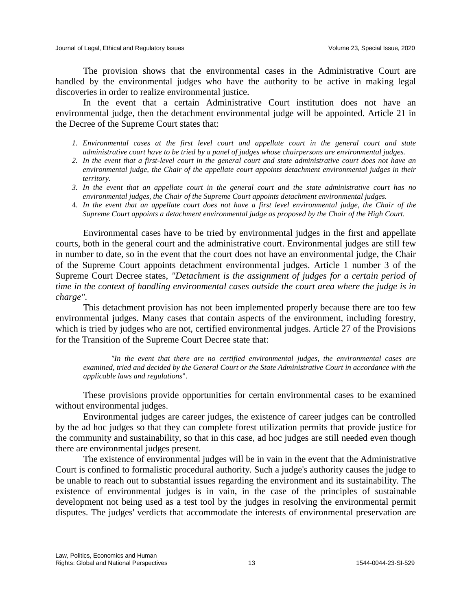The provision shows that the environmental cases in the Administrative Court are handled by the environmental judges who have the authority to be active in making legal discoveries in order to realize environmental justice.

In the event that a certain Administrative Court institution does not have an environmental judge, then the detachment environmental judge will be appointed. Article 21 in the Decree of the Supreme Court states that:

- *1. Environmental cases at the first level court and appellate court in the general court and state administrative court have to be tried by a panel of judges whose chairpersons are environmental judges.*
- *2. In the event that a first-level court in the general court and state administrative court does not have an environmental judge, the Chair of the appellate court appoints detachment environmental judges in their territory.*
- *3. In the event that an appellate court in the general court and the state administrative court has no environmental judges, the Chair of the Supreme Court appoints detachment environmental judges.*
- 4. *In the event that an appellate court does not have a first level environmental judge, the Chair of the Supreme Court appoints a detachment environmental judge as proposed by the Chair of the High Court.*

Environmental cases have to be tried by environmental judges in the first and appellate courts, both in the general court and the administrative court. Environmental judges are still few in number to date, so in the event that the court does not have an environmental judge, the Chair of the Supreme Court appoints detachment environmental judges. Article 1 number 3 of the Supreme Court Decree states, *"Detachment is the assignment of judges for a certain period of time in the context of handling environmental cases outside the court area where the judge is in charge".*

This detachment provision has not been implemented properly because there are too few environmental judges. Many cases that contain aspects of the environment, including forestry, which is tried by judges who are not, certified environmental judges. Article 27 of the Provisions for the Transition of the Supreme Court Decree state that:

*"In the event that there are no certified environmental judges, the environmental cases are examined, tried and decided by the General Court or the State Administrative Court in accordance with the applicable laws and regulations*".

These provisions provide opportunities for certain environmental cases to be examined without environmental judges.

Environmental judges are career judges, the existence of career judges can be controlled by the ad hoc judges so that they can complete forest utilization permits that provide justice for the community and sustainability, so that in this case, ad hoc judges are still needed even though there are environmental judges present.

The existence of environmental judges will be in vain in the event that the Administrative Court is confined to formalistic procedural authority. Such a judge's authority causes the judge to be unable to reach out to substantial issues regarding the environment and its sustainability. The existence of environmental judges is in vain, in the case of the principles of sustainable development not being used as a test tool by the judges in resolving the environmental permit disputes. The judges' verdicts that accommodate the interests of environmental preservation are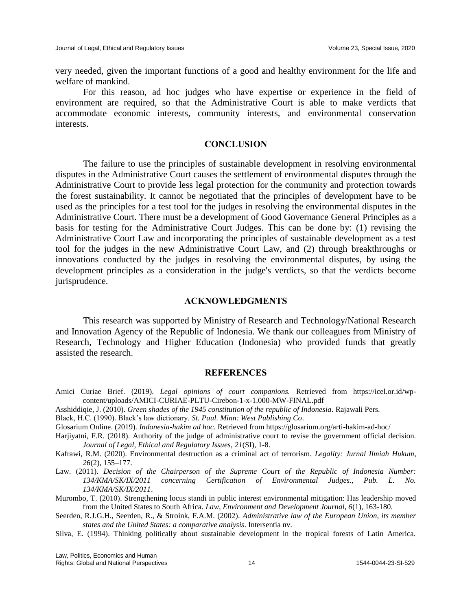very needed, given the important functions of a good and healthy environment for the life and welfare of mankind.

For this reason, ad hoc judges who have expertise or experience in the field of environment are required, so that the Administrative Court is able to make verdicts that accommodate economic interests, community interests, and environmental conservation interests.

## **CONCLUSION**

The failure to use the principles of sustainable development in resolving environmental disputes in the Administrative Court causes the settlement of environmental disputes through the Administrative Court to provide less legal protection for the community and protection towards the forest sustainability. It cannot be negotiated that the principles of development have to be used as the principles for a test tool for the judges in resolving the environmental disputes in the Administrative Court. There must be a development of Good Governance General Principles as a basis for testing for the Administrative Court Judges. This can be done by: (1) revising the Administrative Court Law and incorporating the principles of sustainable development as a test tool for the judges in the new Administrative Court Law, and (2) through breakthroughs or innovations conducted by the judges in resolving the environmental disputes, by using the development principles as a consideration in the judge's verdicts, so that the verdicts become jurisprudence.

### **ACKNOWLEDGMENTS**

This research was supported by Ministry of Research and Technology/National Research and Innovation Agency of the Republic of Indonesia. We thank our colleagues from Ministry of Research, Technology and Higher Education (Indonesia) who provided funds that greatly assisted the research.

#### **REFERENCES**

- Amici Curiae Brief. (2019). *Legal opinions of court companions.* Retrieved from https://icel.or.id/wpcontent/uploads/AMICI-CURIAE-PLTU-Cirebon-1-x-1.000-MW-FINAL.pdf
- Asshiddiqie, J. (2010). *Green shades of the 1945 constitution of the republic of Indonesia*. Rajawali Pers.
- Black, H.C. (1990). Black's law dictionary. *St. Paul. Minn: West Publishing Co*.
- Glosarium Online. (2019). *Indonesia-hakim ad hoc*. Retrieved from https://glosarium.org/arti-hakim-ad-hoc/
- Harjiyatni, F.R. (2018). Authority of the judge of administrative court to revise the government official decision. *Journal of Legal, Ethical and Regulatory Issues*, *21*(SI), 1-8.
- Kafrawi, R.M. (2020). Environmental destruction as a criminal act of terrorism. *Legality: Jurnal Ilmiah Hukum*, *26*(2), 155–177.
- Law. (2011). *Decision of the Chairperson of the Supreme Court of the Republic of Indonesia Number: 134/KMA/SK/IX/2011 concerning Certification of Environmental Judges., Pub. L. No. 134/KMA/SK/IX/2011*.
- Murombo, T. (2010). Strengthening locus standi in public interest environmental mitigation: Has leadership moved from the United States to South Africa. *Law, Environment and Development Journal, 6*(1), 163-180.
- Seerden, R.J.G.H., Seerden, R., & Stroink, F.A.M. (2002). *Administrative law of the European Union, its member states and the United States: a comparative analysis*. Intersentia nv.
- Silva, E. (1994). Thinking politically about sustainable development in the tropical forests of Latin America.